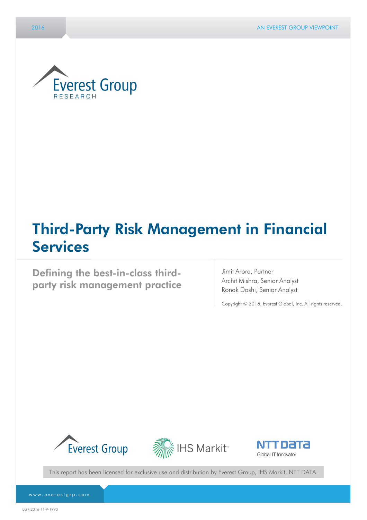

# Third-Party Risk Management in Financial Services

Defining the best-in-class thirdparty risk management practice

Jimit Arora, Partner Archit Mishra, Senior Analyst Ronak Doshi, Senior Analyst

Copyright © 2016, Everest Global, Inc. All rights reserved.







This report has been licensed for exclusive use and distribution by Everest Group, IHS Markit, NTT DATA.

www.everestgrp.com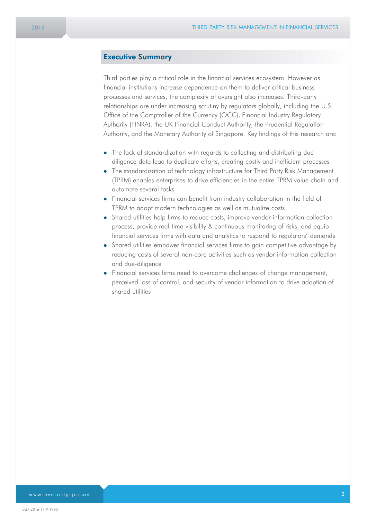#### Executive Summary

Third parties play a critical role in the financial services ecosystem. However as financial institutions increase dependence on them to deliver critical business processes and services, the complexity of oversight also increases. Third-party relationships are under increasing scrutiny by regulators globally, including the U.S. Office of the Comptroller of the Currency (OCC), Financial Industry Regulatory Authority (FINRA), the UK Financial Conduct Authority, the Prudential Regulation Authority, and the Monetary Authority of Singapore. Key findings of this research are:

- The lack of standardization with regards to collecting and distributing due diligence data lead to duplicate efforts, creating costly and inefficient processes
- The standardization of technology infrastructure for Third Party Risk Management (TPRM) enables enterprises to drive efficiencies in the entire TPRM value chain and automate several tasks
- Financial services firms can benefit from industry collaboration in the field of TPRM to adopt modern technologies as well as mutualize costs
- Shared utilities help firms to reduce costs, improve vendor information collection process, provide real-time visibility & continuous monitoring of risks, and equip financial services firms with data and analytics to respond to regulators' demands
- Shared utilities empower financial services firms to gain competitive advantage by reducing costs of several non-core activities such as vendor information collection and due-diligence
- Financial services firms need to overcome challenges of change management, perceived loss of control, and security of vendor information to drive adoption of shared utilities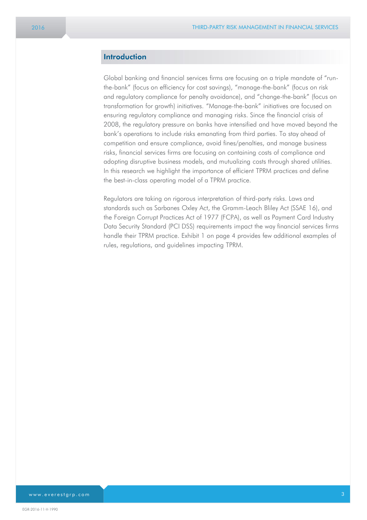#### **Introduction**

Global banking and financial services firms are focusing on a triple mandate of "runthe-bank" (focus on efficiency for cost savings), "manage-the-bank" (focus on risk and regulatory compliance for penalty avoidance), and "change-the-bank" (focus on transformation for growth) initiatives. "Manage-the-bank" initiatives are focused on ensuring regulatory compliance and managing risks. Since the financial crisis of 2008, the regulatory pressure on banks have intensified and have moved beyond the bank's operations to include risks emanating from third parties. To stay ahead of competition and ensure compliance, avoid fines/penalties, and manage business risks, financial services firms are focusing on containing costs of compliance and adopting disruptive business models, and mutualizing costs through shared utilities. In this research we highlight the importance of efficient TPRM practices and define the best-in-class operating model of a TPRM practice.

Regulators are taking on rigorous interpretation of third-party risks. Laws and standards such as Sarbanes Oxley Act, the Gramm-Leach Bliley Act (SSAE 16), and the Foreign Corrupt Practices Act of 1977 (FCPA), as well as Payment Card Industry Data Security Standard (PCI DSS) requirements impact the way financial services firms handle their TPRM practice. Exhibit 1 on page 4 provides few additional examples of rules, regulations, and guidelines impacting TPRM.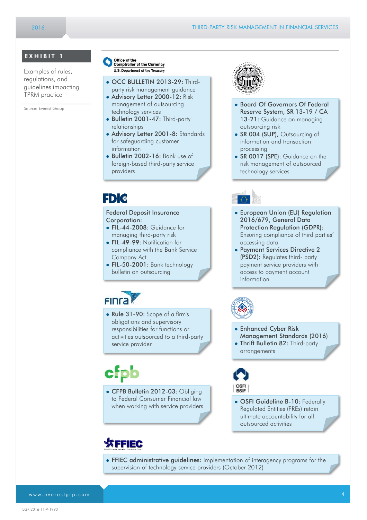#### EXHIBIT 1

Examples of rules, regulations, and guidelines impacting TPRM practice

Source: Everest Group

- Office of the<br>Comptroller of the Currency U.S. Department of the Treasury
- OCC BULLETIN 2013-29: Third-
- party risk management guidance • Advisory Letter 2000-12: Risk
- management of outsourcing technology services Bulletin 2001-47: Third-party
- relationships
- Advisory Letter 2001-8: Standards for safeguarding customer information
- Bulletin 2002-16: Bank use of foreign-based third-party service providers

## FDI®

#### Federal Deposit Insurance Corporation:

- FIL-44-2008: Guidance for managing third-party risk
- FIL-49-99: Notification for compliance with the Bank Service Company Act
- FIL-50-2001: Bank technology bulletin on outsourcing

# **FING**

 Rule 31-90: Scope of a firm's obligations and supervisory responsibilities for functions or activities outsourced to a third-party service provider

# cfpb

• CFPB Bulletin 2012-03: Obliging to Federal Consumer Financial law when working with service providers

## **SFFIEC**



- Board Of Governors Of Federal Reserve System, SR 13-19 / CA 13-21: Guidance on managing outsourcing risk
- SR 004 (SUP), Outsourcing of information and transaction processing
- SR 0017 (SPE): Guidance on the risk management of outsourced technology services

- European Union (EU) Regulation 2016/679, General Data Protection Regulation (GDPR): Ensuring compliance of third parties' accessing data
- Payment Services Directive 2 (PSD2): Regulates third- party payment service providers with access to payment account information



- Enhanced Cyber Risk
- Management Standards (2016)
- Thrift Bulletin 82: Third-party arrangements



- OSFI Guideline B-10: Federally Regulated Entities (FREs) retain ultimate accountability for all outsourced activities
- FFIEC administrative guidelines: Implementation of interagency programs for the supervision of technology service providers (October 2012)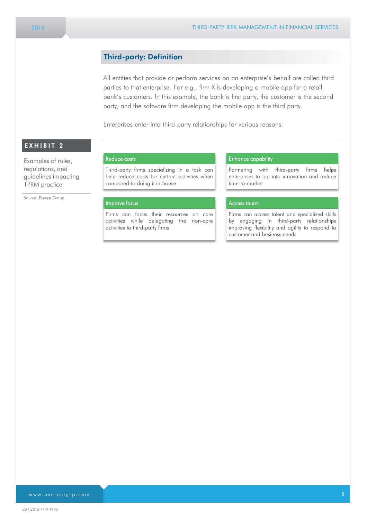#### Third-party: Definition

All entities that provide or perform services on an enterprise's behalf are called third parties to that enterprise. For e.g., firm X is developing a mobile app for a retail bank's customers. In this example, the bank is first party, the customer is the second party, and the software firm developing the mobile app is the third party.

Enterprises enter into third-party relationships for various reasons:

### $EXHIBIT 2$

Examples of rules, regulations, and guidelines impacting TPRM practice

Source: Everest Group

#### Reduce costs

Third-party firms specializing in a task can help reduce costs for certain activities when compared to doing it in-house

#### Improve focus

Firms can focus their resources on core activities while delegating the non-core activities to third-party firms

#### Enhance capability

Partnering with third-party firms helps enterprises to tap into innovation and reduce time-to-market

#### Access talent

Firms can access talent and specialized skills by engaging in third-party relationships improving flexibility and agility to respond to customer and business needs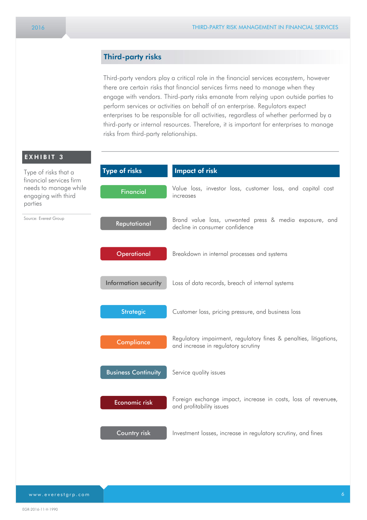#### Third-party risks

Third-party vendors play a critical role in the financial services ecosystem, however there are certain risks that financial services firms need to manage when they engage with vendors. Third-party risks emanate from relying upon outside parties to perform services or activities on behalf of an enterprise. Regulators expect enterprises to be responsible for all activities, regardless of whether performed by a third-party or internal resources. Therefore, it is important for enterprises to manage risks from third-party relationships.

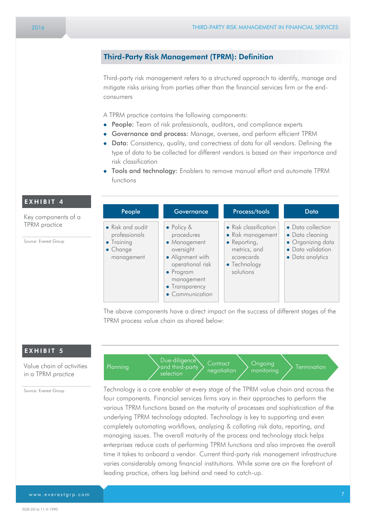### Third-Party Risk Management (TPRM): Definition

Third-party risk management refers to a structured approach to identify, manage and mitigate risks arising from parties other than the financial services firm or the endconsumers

A TPRM practice contains the following components:

- **People:** Team of risk professionals, auditors, and compliance experts
- Governance and process: Manage, oversee, and perform efficient TPRM
- Data: Consistency, quality, and correctness of data for all vendors. Defining the type of data to be collected for different vendors is based on their importance and risk classification
- Tools and technology: Enablers to remove manual effort and automate TPRM functions

| People                                                                                    | Governance                                                                                                                                                                    | Process/tools                                                                                                                 | Data                                                                                               |
|-------------------------------------------------------------------------------------------|-------------------------------------------------------------------------------------------------------------------------------------------------------------------------------|-------------------------------------------------------------------------------------------------------------------------------|----------------------------------------------------------------------------------------------------|
| • Risk and audit<br>professionals<br>$\bullet$ Training<br>$\bullet$ Change<br>management | $\bullet$ Policy &<br>procedures<br>• Management<br>oversight<br>• Alignment with<br>operational risk<br>$\bullet$ Program<br>management<br>• Transparency<br>• Communication | • Risk classification<br>• Risk management<br>$\bullet$ Reporting,<br>metrics, and<br>scorecards<br>• Technology<br>solutions | • Data collection<br>• Data cleaning<br>• Organizing data<br>• Data validation<br>• Data analytics |

The above components have a direct impact on the success of different stages of the TPRM process value chain as shared below:

#### EXHIBIT 5

EXHIBIT 4

Source: Everest Group

Key components of a TPRM practice

Value chain of activities in a TPRM practice

Source: Everest Group

Due-diligence and third-party selection **Contract** Planning  $\left\{\n\begin{array}{c}\n\text{and third-party} \\
\text{negotiation}\n\end{array}\n\right\}\n\begin{array}{c}\n\text{Singular} \\
\text{monitoring}\n\end{array}\n\right\}$  Termination Ongoing

Technology is a core enabler at every stage of the TPRM value chain and across the four components. Financial services firms vary in their approaches to perform the various TPRM functions based on the maturity of processes and sophistication of the underlying TPRM technology adopted. Technology is key to supporting and even completely automating workflows, analyzing & collating risk data, reporting, and managing issues. The overall maturity of the process and technology stack helps enterprises reduce costs of performing TPRM functions and also improves the overall time it takes to onboard a vendor. Current third-party risk management infrastructure varies considerably among financial institutions. While some are on the forefront of leading practice, others lag behind and need to catch-up.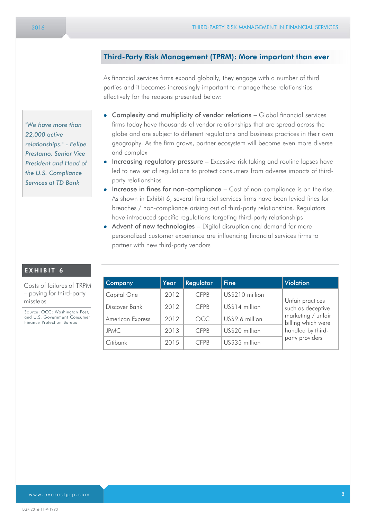#### Third-Party Risk Management (TPRM): More important than ever

As financial services firms expand globally, they engage with a number of third parties and it becomes increasingly important to manage these relationships effectively for the reasons presented below:

- Complexity and multiplicity of vendor relations Global financial services firms today have thousands of vendor relationships that are spread across the globe and are subject to different regulations and business practices in their own geography. As the firm grows, partner ecosystem will become even more diverse and complex
- Increasing regulatory pressure Excessive risk taking and routine lapses have led to new set of regulations to protect consumers from adverse impacts of thirdparty relationships
- $\bullet$  Increase in fines for non-compliance  $-$  Cost of non-compliance is on the rise. As shown in Exhibit 6, several financial services firms have been levied fines for breaches / non-compliance arising out of third-party relationships. Regulators have introduced specific regulations targeting third-party relationships
- Advent of new technologies Digital disruption and demand for more personalized customer experience are influencing financial services firms to partner with new third-party vendors

| Company          | Year | Regulator   | <b>Fine</b>     | <b>Violation</b>                                                                                                          |
|------------------|------|-------------|-----------------|---------------------------------------------------------------------------------------------------------------------------|
| Capital One      | 2012 | <b>CFPB</b> | US\$210 million | Unfair practices<br>such as deceptive<br>marketing / unfair<br>billing which were<br>handled by third-<br>party providers |
| Discover Bank    | 2012 | <b>CFPB</b> | US\$14 million  |                                                                                                                           |
| American Express | 2012 | <b>OCC</b>  | US\$9.6 million |                                                                                                                           |
| <b>JPMC</b>      | 2013 | <b>CFPB</b> | US\$20 million  |                                                                                                                           |
| Citibank         | 2015 | <b>CFPB</b> | US\$35 million  |                                                                                                                           |

*"We have more than 22,000 active relationships." - Felipe Prestamo, Senior Vice President and Head of the U.S. Compliance Services at TD Bank*

#### EXHIBIT 6

Costs of failures of TRPM – paying for third-party missteps

Source: OCC; Washington Post; and U.S. Government Consumer Finance Protection Bureau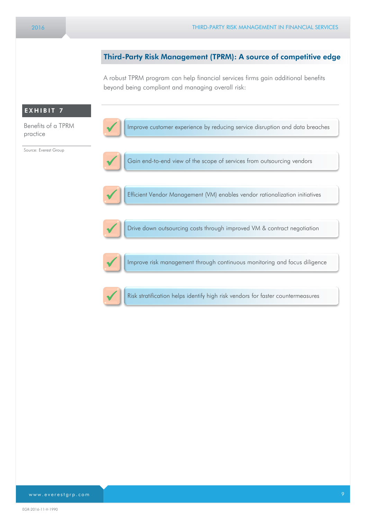#### Third-Party Risk Management (TPRM): A source of competitive edge

A robust TPRM program can help financial services firms gain additional benefits beyond being compliant and managing overall risk:

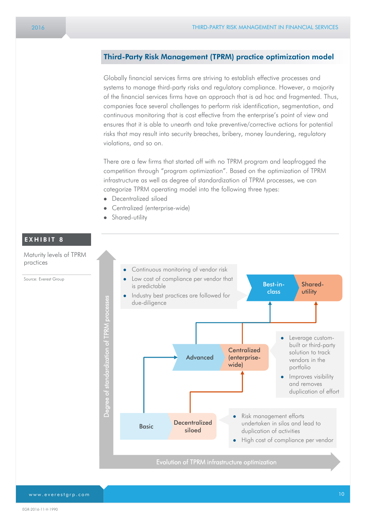#### Third-Party Risk Management (TPRM) practice optimization model

Globally financial services firms are striving to establish effective processes and systems to manage third-party risks and regulatory compliance. However, a majority of the financial services firms have an approach that is ad hoc and fragmented. Thus, companies face several challenges to perform risk identification, segmentation, and continuous monitoring that is cost effective from the enterprise's point of view and ensures that it is able to unearth and take preventive/corrective actions for potential risks that may result into security breaches, bribery, money laundering, regulatory violations, and so on.

There are a few firms that started off with no TPRM program and leapfrogged the competition through "program optimization". Based on the optimization of TPRM infrastructure as well as degree of standardization of TPRM processes, we can categorize TPRM operating model into the following three types:

- Decentralized siloed
- Centralized (enterprise-wide)
- **•** Shared-utility

#### EXHIBIT 8

Maturity levels of TPRM practices

Source: Everest Group

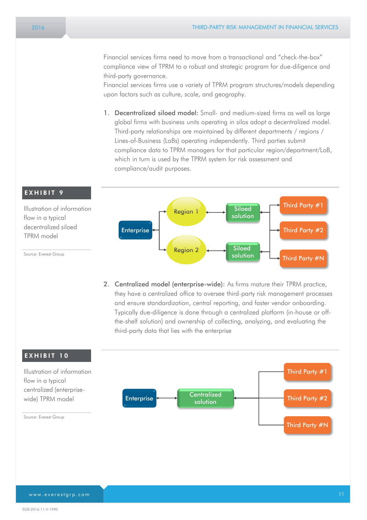Financial services firms need to move from a transactional and "check-the-box" compliance view of TPRM to a robust and strategic program for due-diligence and third-party governance.

Financial services firms use a variety of TPRM program structures/models depending upon factors such as culture, scale, and geography.

1. Decentralized siloed model: Small- and medium-sized firms as well as large global firms with business units operating in silos adopt a decentralized model. Third-party relationships are maintained by different departments / regions / Lines-of-Business (LoBs) operating independently. Third parties submit compliance data to TPRM managers for that particular region/department/LoB, which in turn is used by the TPRM system for risk assessment and compliance/audit purposes.



2. Centralized model (enterprise-wide): As firms mature their TPRM practice, they have a centralized office to oversee third-party risk management processes and ensure standardization, central reporting, and faster vendor onboarding. Typically due-diligence is done through a centralized platform (in-house or offthe-shelf solution) and ownership of collecting, analyzing, and evaluating the third-party data that lies with the enterprise



www.everestgrp.com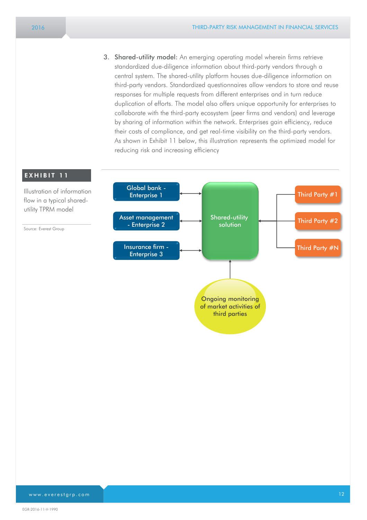3. Shared-utility model: An emerging operating model wherein firms retrieve standardized due-diligence information about third-party vendors through a central system. The shared-utility platform houses due-diligence information on third-party vendors. Standardized questionnaires allow vendors to store and reuse responses for multiple requests from different enterprises and in turn reduce duplication of efforts. The model also offers unique opportunity for enterprises to collaborate with the third-party ecosystem (peer firms and vendors) and leverage by sharing of information within the network. Enterprises gain efficiency, reduce their costs of compliance, and get real-time visibility on the third-party vendors. As shown in Exhibit 11 below, this illustration represents the optimized model for reducing risk and increasing efficiency

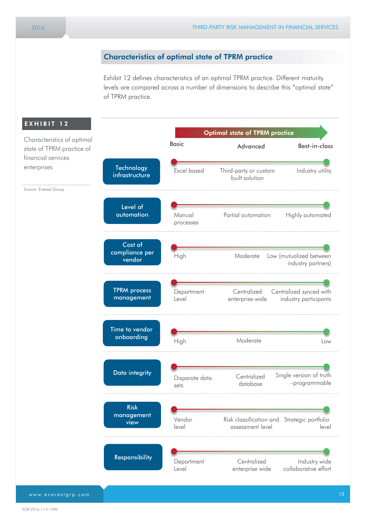#### Characteristics of optimal state of TPRM practice

Exhibit 12 defines characteristics of an optimal TPRM practice. Different maturity levels are compared across a number of dimensions to describe this "optimal state" of TPRM practice.

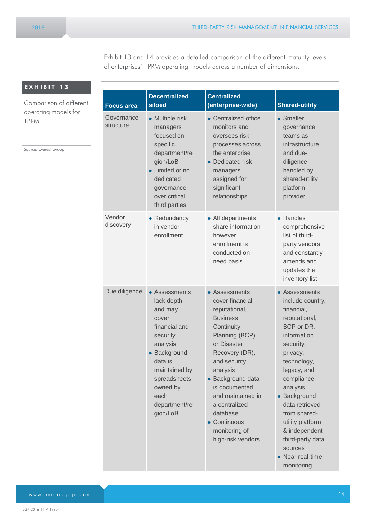Exhibit 13 and 14 provides a detailed comparison of the different maturity levels of enterprises' TPRM operating models across a number of dimensions.

| EXHIBIT 13 |  |  |
|------------|--|--|
|------------|--|--|

Comparison of different operating models for TPRM

Source: Everest Group

| <b>Focus area</b>       | <b>Decentralized</b><br>siloed                                                                                                                                                                        | <b>Centralized</b><br>(enterprise-wide)                                                                                                                                                                                                                                                                          | <b>Shared-utility</b>                                                                                                                                                                                                                                                                                                                  |
|-------------------------|-------------------------------------------------------------------------------------------------------------------------------------------------------------------------------------------------------|------------------------------------------------------------------------------------------------------------------------------------------------------------------------------------------------------------------------------------------------------------------------------------------------------------------|----------------------------------------------------------------------------------------------------------------------------------------------------------------------------------------------------------------------------------------------------------------------------------------------------------------------------------------|
| Governance<br>structure | • Multiple risk<br>managers<br>focused on<br>specific<br>department/re<br>gion/LoB<br>• Limited or no<br>dedicated<br>governance<br>over critical<br>third parties                                    | • Centralized office<br>monitors and<br>oversees risk<br>processes across<br>the enterprise<br>• Dedicated risk<br>managers<br>assigned for<br>significant<br>relationships                                                                                                                                      | • Smaller<br>governance<br>teams as<br>infrastructure<br>and due-<br>diligence<br>handled by<br>shared-utility<br>platform<br>provider                                                                                                                                                                                                 |
| Vendor<br>discovery     | • Redundancy<br>in vendor<br>enrollment                                                                                                                                                               | • All departments<br>share information<br>however<br>enrollment is<br>conducted on<br>need basis                                                                                                                                                                                                                 | • Handles<br>comprehensive<br>list of third-<br>party vendors<br>and constantly<br>amends and<br>updates the<br>inventory list                                                                                                                                                                                                         |
| Due diligence           | • Assessments<br>lack depth<br>and may<br>cover<br>financial and<br>security<br>analysis<br>• Background<br>data is<br>maintained by<br>spreadsheets<br>owned by<br>each<br>department/re<br>gion/LoB | • Assessments<br>cover financial,<br>reputational,<br><b>Business</b><br>Continuity<br>Planning (BCP)<br>or Disaster<br>Recovery (DR),<br>and security<br>analysis<br>• Background data<br>is documented<br>and maintained in<br>a centralized<br>database<br>• Continuous<br>monitoring of<br>high-risk vendors | • Assessments<br>include country,<br>financial,<br>reputational,<br>BCP or DR,<br>information<br>security,<br>privacy,<br>technology,<br>legacy, and<br>compliance<br>analysis<br>• Background<br>data retrieved<br>from shared-<br>utility platform<br>& independent<br>third-party data<br>sources<br>• Near real-time<br>monitoring |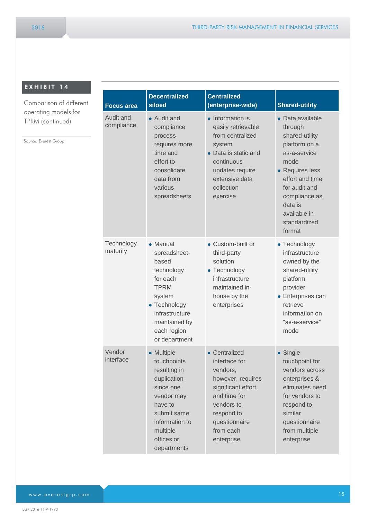### EXHIBIT 14

Source: Everest Group

Comparison of differen operating models for TPRM (continued)

| ۱t | <b>Focus area</b>       | <b>Decentralized</b><br>siloed                                                                                                                                           | <b>Centralized</b><br>(enterprise-wide)                                                                                                                                       | <b>Shared-utility</b>                                                                                                                                                                                               |
|----|-------------------------|--------------------------------------------------------------------------------------------------------------------------------------------------------------------------|-------------------------------------------------------------------------------------------------------------------------------------------------------------------------------|---------------------------------------------------------------------------------------------------------------------------------------------------------------------------------------------------------------------|
|    | Audit and<br>compliance | • Audit and<br>compliance<br>process<br>requires more<br>time and<br>effort to<br>consolidate<br>data from<br>various<br>spreadsheets                                    | • Information is<br>easily retrievable<br>from centralized<br>system<br>• Data is static and<br>continuous<br>updates require<br>extensive data<br>collection<br>exercise     | • Data available<br>through<br>shared-utility<br>platform on a<br>as-a-service<br>mode<br>• Requires less<br>effort and time<br>for audit and<br>compliance as<br>data is<br>available in<br>standardized<br>format |
|    | Technology<br>maturity  | • Manual<br>spreadsheet-<br>based<br>technology<br>for each<br><b>TPRM</b><br>system<br>• Technology<br>infrastructure<br>maintained by<br>each region<br>or department  | • Custom-built or<br>third-party<br>solution<br>• Technology<br>infrastructure<br>maintained in-<br>house by the<br>enterprises                                               | • Technology<br>infrastructure<br>owned by the<br>shared-utility<br>platform<br>provider<br>• Enterprises can<br>retrieve<br>information on<br>"as-a-service"<br>mode                                               |
|    | Vendor<br>interface     | • Multiple<br>touchpoints<br>resulting in<br>duplication<br>since one<br>vendor may<br>have to<br>submit same<br>information to<br>multiple<br>offices or<br>departments | • Centralized<br>interface for<br>vendors,<br>however, requires<br>significant effort<br>and time for<br>vendors to<br>respond to<br>questionnaire<br>from each<br>enterprise | • Single<br>touchpoint for<br>vendors across<br>enterprises &<br>eliminates need<br>for vendors to<br>respond to<br>similar<br>questionnaire<br>from multiple<br>enterprise                                         |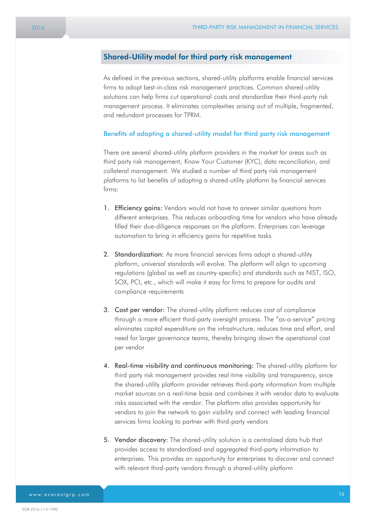#### Shared-Utility model for third party risk management

As defined in the previous sections, shared-utility platforms enable financial services firms to adopt best-in-class risk management practices. Common shared-utility solutions can help firms cut operational costs and standardize their third-party risk management process. It eliminates complexities arising out of multiple, fragmented, and redundant processes for TPRM.

#### Benefits of adopting a shared-utility model for third party risk management

There are several shared-utility platform providers in the market for areas such as third party risk management, Know Your Customer (KYC), data reconciliation, and collateral management. We studied a number of third party risk management platforms to list benefits of adopting a shared-utility platform by financial services firms:

- 1. **Efficiency gains:** Vendors would not have to answer similar questions from different enterprises. This reduces onboarding time for vendors who have already filled their due-diligence responses on the platform. Enterprises can leverage automation to bring in efficiency gains for repetitive tasks
- 2. Standardization: As more financial services firms adopt a shared-utility platform, universal standards will evolve. The platform will align to upcoming regulations (global as well as country-specific) and standards such as NIST, ISO, SOX, PCI, etc., which will make it easy for firms to prepare for audits and compliance requirements
- **3. Cost per vendor:** The shared-utility platform reduces cost of compliance through a more efficient third-party oversight process. The "as-a-service" pricing eliminates capital expenditure on the infrastructure, reduces time and effort, and need for larger governance teams, thereby bringing down the operational cost per vendor
- 4. Real-time visibility and continuous monitoring: The shared-utility platform for third party risk management provides real-time visibility and transparency, since the shared-utility platform provider retrieves third-party information from multiple market sources on a real-time basis and combines it with vendor data to evaluate risks associated with the vendor. The platform also provides opportunity for vendors to join the network to gain visibility and connect with leading financial services firms looking to partner with third-party vendors
- 5. Vendor discovery: The shared-utility solution is a centralized data hub that provides access to standardized and aggregated third-party information to enterprises. This provides an opportunity for enterprises to discover and connect with relevant third-party vendors through a shared-utility platform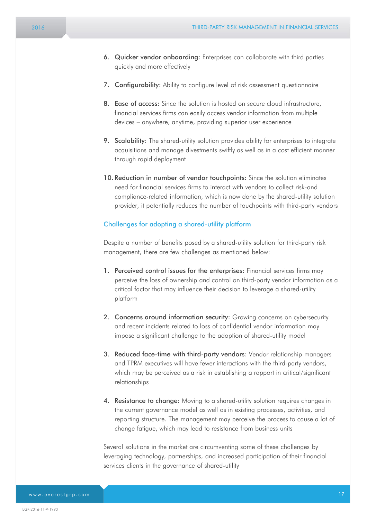- 6. Quicker vendor onboarding: Enterprises can collaborate with third parties quickly and more effectively
- 7. Configurability: Ability to configure level of risk assessment questionnaire
- 8. Ease of access: Since the solution is hosted on secure cloud infrastructure, financial services firms can easily access vendor information from multiple devices – anywhere, anytime, providing superior user experience
- 9. Scalability: The shared-utility solution provides ability for enterprises to integrate acquisitions and manage divestments swiftly as well as in a cost efficient manner through rapid deployment
- 10. Reduction in number of vendor touchpoints: Since the solution eliminates need for financial services firms to interact with vendors to collect risk-and compliance-related information, which is now done by the shared-utility solution provider, it potentially reduces the number of touchpoints with third-party vendors

#### Challenges for adopting a shared-utility platform

Despite a number of benefits posed by a shared-utility solution for third-party risk management, there are few challenges as mentioned below:

- 1. Perceived control issues for the enterprises: Financial services firms may perceive the loss of ownership and control on third-party vendor information as a critical factor that may influence their decision to leverage a shared-utility platform
- 2. Concerns around information security: Growing concerns on cybersecurity and recent incidents related to loss of confidential vendor information may impose a significant challenge to the adoption of shared-utility model
- 3. Reduced face-time with third-party vendors: Vendor relationship managers and TPRM executives will have fewer interactions with the third-party vendors, which may be perceived as a risk in establishing a rapport in critical/significant relationships
- 4. Resistance to change: Moving to a shared-utility solution requires changes in the current governance model as well as in existing processes, activities, and reporting structure. The management may perceive the process to cause a lot of change fatigue, which may lead to resistance from business units

Several solutions in the market are circumventing some of these challenges by leveraging technology, partnerships, and increased participation of their financial services clients in the governance of shared-utility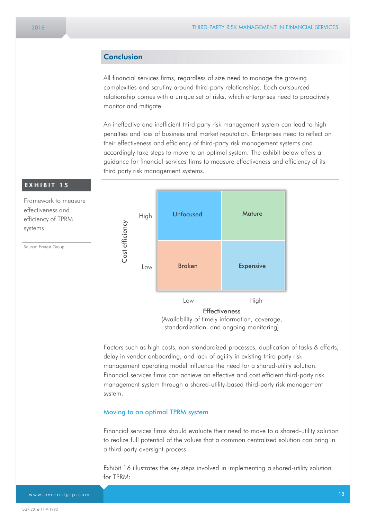#### Conclusion

All financial services firms, regardless of size need to manage the growing complexities and scrutiny around third-party relationships. Each outsourced relationship comes with a unique set of risks, which enterprises need to proactively monitor and mitigate.

An ineffective and inefficient third party risk management system can lead to high penalties and loss of business and market reputation. Enterprises need to reflect on their effectiveness and efficiency of third-party risk management systems and accordingly take steps to move to an optimal system. The exhibit below offers a guidance for financial services firms to measure effectiveness and efficiency of its third party risk management systems.



standardization, and ongoing monitoring)

Factors such as high costs, non-standardized processes, duplication of tasks & efforts, delay in vendor onboarding, and lack of agility in existing third party risk management operating model influence the need for a shared-utility solution. Financial services firms can achieve an effective and cost efficient third-party risk management system through a shared-utility-based third-party risk management system.

#### Moving to an optimal TPRM system

Financial services firms should evaluate their need to move to a shared-utility solution to realize full potential of the values that a common centralized solution can bring in a third-party oversight process.

Exhibit 16 illustrates the key steps involved in implementing a shared-utility solution for TPRM: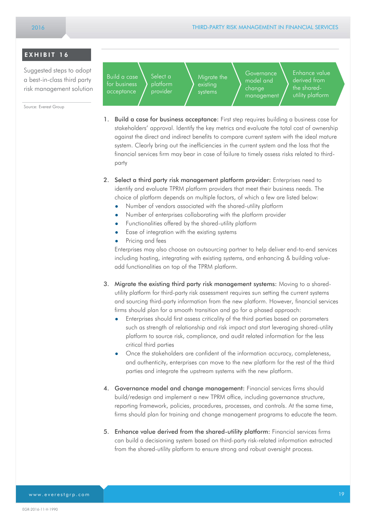#### EXHIBIT 16

Suggested steps to adopt a best-in-class third party risk management solution

Source: Everest Group

Build a case for business acceptance Select a platform provider Migrate the systems

**Governance** model and change management

Enhance value derived from the sharedutility platform

- 1. Build a case for business acceptance: First step requires building a business case for stakeholders' approval. Identify the key metrics and evaluate the total cost of ownership against the direct and indirect benefits to compare current system with the ideal mature system. Clearly bring out the inefficiencies in the current system and the loss that the financial services firm may bear in case of failure to timely assess risks related to thirdparty
- 2. Select a third party risk management platform provider: Enterprises need to identify and evaluate TPRM platform providers that meet their business needs. The choice of platform depends on multiple factors, of which a few are listed below:
	- Number of vendors associated with the shared-utility platform
	- Number of enterprises collaborating with the platform provider
	- Functionalities offered by the shared-utility platform
	- **•** Ease of integration with the existing systems
	- Pricing and fees

Enterprises may also choose an outsourcing partner to help deliver end-to-end services including hosting, integrating with existing systems, and enhancing & building valueadd functionalities on top of the TPRM platform.

- 3. Migrate the existing third party risk management systems: Moving to a sharedutility platform for third-party risk assessment requires sun setting the current systems and sourcing third-party information from the new platform. However, financial services firms should plan for a smooth transition and go for a phased approach:
	- Enterprises should first assess criticality of the third parties based on parameters such as strength of relationship and risk impact and start leveraging shared-utility platform to source risk, compliance, and audit related information for the less critical third parties
	- Once the stakeholders are confident of the information accuracy, completeness, and authenticity, enterprises can move to the new platform for the rest of the third parties and integrate the upstream systems with the new platform.
- 4. Governance model and change management: Financial services firms should build/redesign and implement a new TPRM office, including governance structure, reporting framework, policies, procedures, processes, and controls. At the same time, firms should plan for training and change management programs to educate the team.
- 5. Enhance value derived from the shared-utility platform: Financial services firms can build a decisioning system based on third-party risk-related information extracted from the shared-utility platform to ensure strong and robust oversight process.